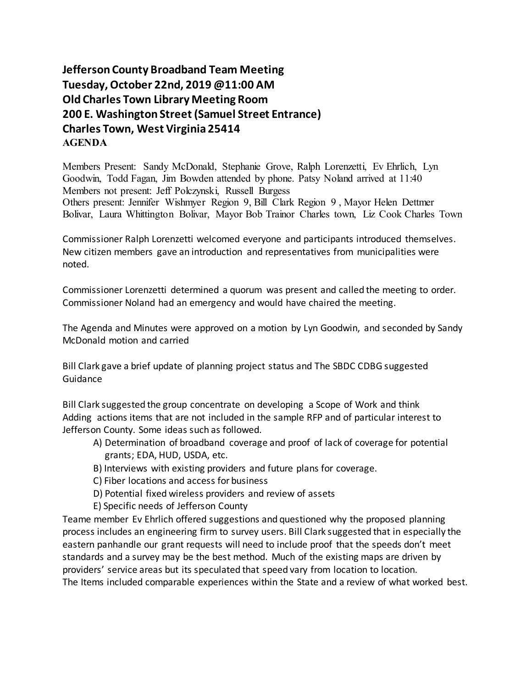**Jefferson County Broadband Team Meeting Tuesday, October 22nd, 2019 @11:00 AM Old Charles Town Library Meeting Room 200 E. Washington Street (Samuel Street Entrance) Charles Town, West Virginia 25414 AGENDA**

Members Present: Sandy McDonald, Stephanie Grove, Ralph Lorenzetti, Ev Ehrlich, Lyn Goodwin, Todd Fagan, Jim Bowden attended by phone. Patsy Noland arrived at 11:40 Members not present: Jeff Polczynski, Russell Burgess Others present: Jennifer Wishmyer Region 9, Bill Clark Region 9 , Mayor Helen Dettmer Bolivar, Laura Whittington Bolivar, Mayor Bob Trainor Charles town, Liz Cook Charles Town

Commissioner Ralph Lorenzetti welcomed everyone and participants introduced themselves. New citizen members gave an introduction and representatives from municipalities were noted.

Commissioner Lorenzetti determined a quorum was present and called the meeting to order. Commissioner Noland had an emergency and would have chaired the meeting.

The Agenda and Minutes were approved on a motion by Lyn Goodwin, and seconded by Sandy McDonald motion and carried

Bill Clark gave a brief update of planning project status and The SBDC CDBG suggested Guidance

Bill Clark suggested the group concentrate on developing a Scope of Work and think Adding actions items that are not included in the sample RFP and of particular interest to Jefferson County. Some ideas such as followed.

- A) Determination of broadband coverage and proof of lack of coverage for potential grants; EDA, HUD, USDA, etc.
- B) Interviews with existing providers and future plans for coverage.
- C) Fiber locations and access for business
- D) Potential fixed wireless providers and review of assets
- E) Specific needs of Jefferson County

Teame member Ev Ehrlich offered suggestions and questioned why the proposed planning process includes an engineering firm to survey users. Bill Clark suggested that in especially the eastern panhandle our grant requests will need to include proof that the speeds don't meet standards and a survey may be the best method. Much of the existing maps are driven by providers' service areas but its speculated that speed vary from location to location. The Items included comparable experiences within the State and a review of what worked best.